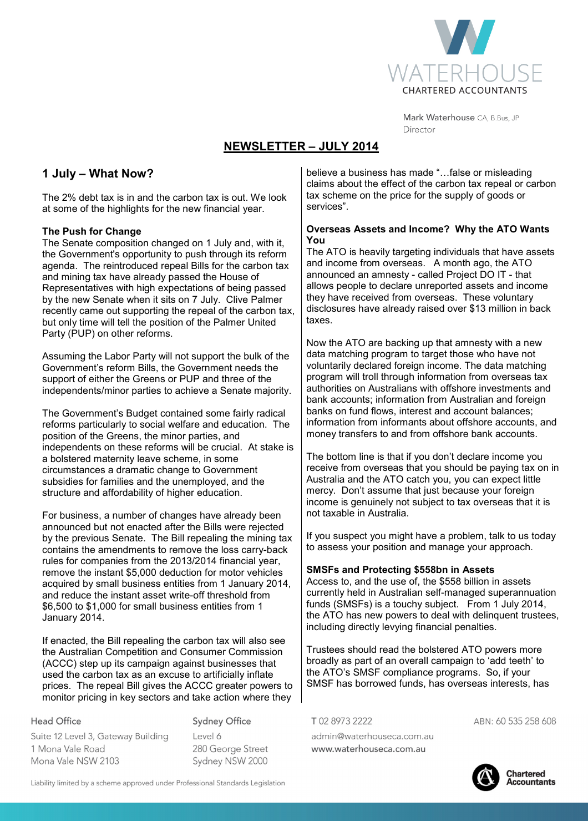

Mark Waterhouse CA, B.Bus, JP Director

# **NEWSLETTER – JULY 2014**

## **1 July – What Now?**

The 2% debt tax is in and the carbon tax is out. We look at some of the highlights for the new financial year.

#### **The Push for Change**

The Senate composition changed on 1 July and, with it, the Government's opportunity to push through its reform agenda. The reintroduced repeal Bills for the carbon tax and mining tax have already passed the House of Representatives with high expectations of being passed by the new Senate when it sits on 7 July. Clive Palmer recently came out supporting the repeal of the carbon tax, but only time will tell the position of the Palmer United Party (PUP) on other reforms.

Assuming the Labor Party will not support the bulk of the Government's reform Bills, the Government needs the support of either the Greens or PUP and three of the independents/minor parties to achieve a Senate majority.

The Government's Budget contained some fairly radical reforms particularly to social welfare and education. The position of the Greens, the minor parties, and independents on these reforms will be crucial. At stake is a bolstered maternity leave scheme, in some circumstances a dramatic change to Government subsidies for families and the unemployed, and the structure and affordability of higher education.

For business, a number of changes have already been announced but not enacted after the Bills were rejected by the previous Senate. The Bill repealing the mining tax contains the amendments to remove the loss carry-back rules for companies from the 2013/2014 financial year, remove the instant \$5,000 deduction for motor vehicles acquired by small business entities from 1 January 2014, and reduce the instant asset write-off threshold from \$6,500 to \$1,000 for small business entities from 1 January 2014.

If enacted, the Bill repealing the carbon tax will also see the Australian Competition and Consumer Commission (ACCC) step up its campaign against businesses that used the carbon tax as an excuse to artificially inflate prices. The repeal Bill gives the ACCC greater powers to monitor pricing in key sectors and take action where they

**Head Office** Suite 12 Level 3, Gateway Building 1 Mona Vale Road Mona Vale NSW 2103

**Sydney Office** 

 $|$  avel 6 280 George Street Sydney NSW 2000

believe a business has made "...false or misleading claims about the effect of the carbon tax repeal or carbon tax scheme on the price for the supply of goods or services".

#### **Overseas Assets and Income? Why the ATO Wants You**

The ATO is heavily targeting individuals that have assets and income from overseas. A month ago, the ATO announced an amnesty - called Project DO IT - that allows people to declare unreported assets and income they have received from overseas. These voluntary disclosures have already raised over \$13 million in back taxes.

Now the ATO are backing up that amnesty with a new data matching program to target those who have not voluntarily declared foreign income. The data matching program will troll through information from overseas tax authorities on Australians with offshore investments and bank accounts; information from Australian and foreign banks on fund flows, interest and account balances; information from informants about offshore accounts, and money transfers to and from offshore bank accounts.

The bottom line is that if you don't declare income you receive from overseas that you should be paying tax on in Australia and the ATO catch you, you can expect little mercy. Don't assume that just because your foreign income is genuinely not subject to tax overseas that it is not taxable in Australia.

If you suspect you might have a problem, talk to us today to assess your position and manage your approach.

#### **SMSFs and Protecting \$558bn in Assets**

Access to, and the use of, the \$558 billion in assets currently held in Australian self-managed superannuation funds (SMSFs) is a touchy subject. From 1 July 2014, the ATO has new powers to deal with delinquent trustees. including directly levying financial penalties.

Trustees should read the bolstered ATO powers more broadly as part of an overall campaign to 'add teeth' to the ATO's SMSF compliance programs. So, if your SMSF has borrowed funds, has overseas interests, has

T0289732222 admin@waterhouseca.com.au www.waterhouseca.com.au

ABN: 60 535 258 608

**Chartered Accountants** 

Liability limited by a scheme approved under Professional Standards Legislation